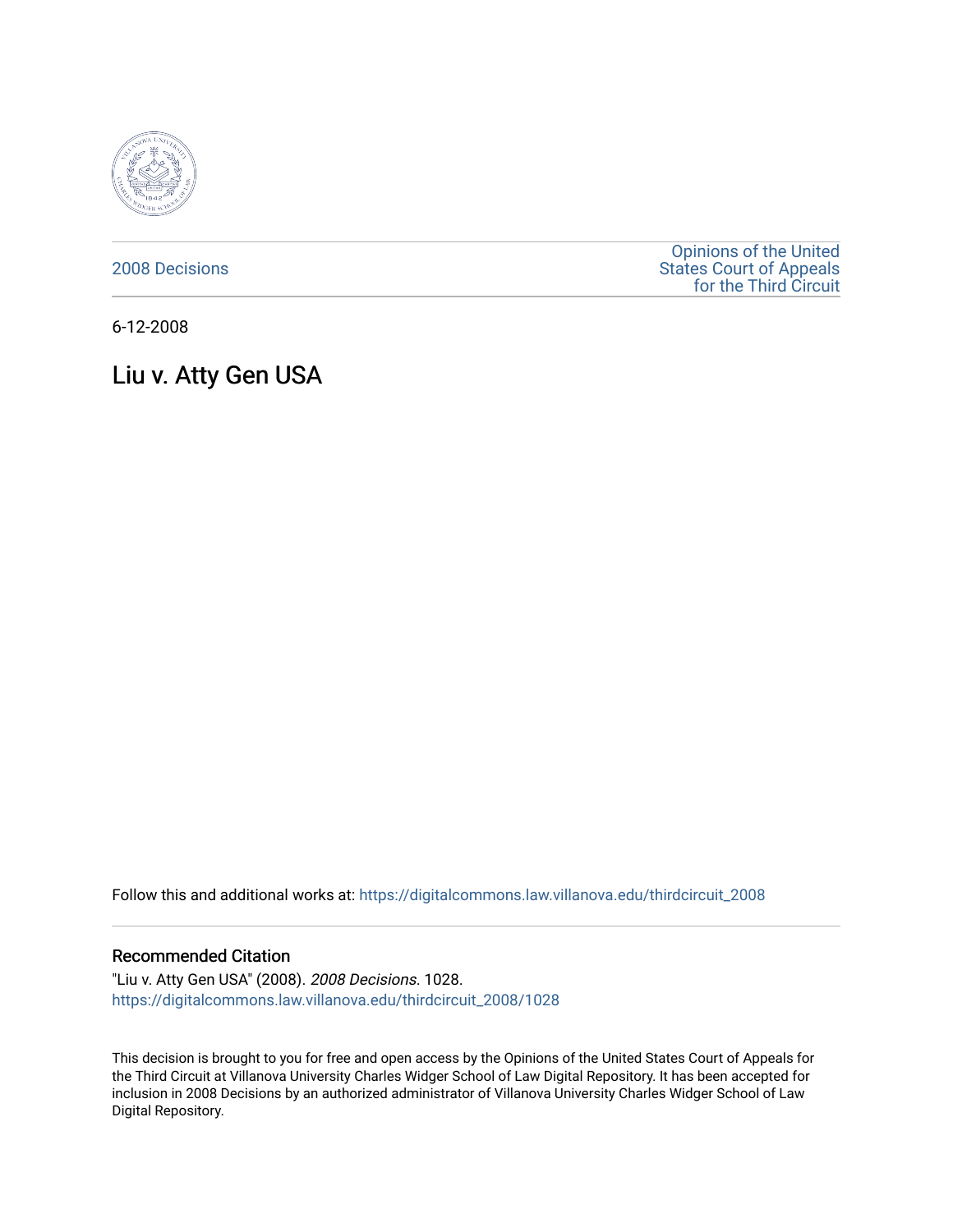

[2008 Decisions](https://digitalcommons.law.villanova.edu/thirdcircuit_2008)

[Opinions of the United](https://digitalcommons.law.villanova.edu/thirdcircuit)  [States Court of Appeals](https://digitalcommons.law.villanova.edu/thirdcircuit)  [for the Third Circuit](https://digitalcommons.law.villanova.edu/thirdcircuit) 

6-12-2008

# Liu v. Atty Gen USA

Follow this and additional works at: [https://digitalcommons.law.villanova.edu/thirdcircuit\\_2008](https://digitalcommons.law.villanova.edu/thirdcircuit_2008?utm_source=digitalcommons.law.villanova.edu%2Fthirdcircuit_2008%2F1028&utm_medium=PDF&utm_campaign=PDFCoverPages) 

### Recommended Citation

"Liu v. Atty Gen USA" (2008). 2008 Decisions. 1028. [https://digitalcommons.law.villanova.edu/thirdcircuit\\_2008/1028](https://digitalcommons.law.villanova.edu/thirdcircuit_2008/1028?utm_source=digitalcommons.law.villanova.edu%2Fthirdcircuit_2008%2F1028&utm_medium=PDF&utm_campaign=PDFCoverPages) 

This decision is brought to you for free and open access by the Opinions of the United States Court of Appeals for the Third Circuit at Villanova University Charles Widger School of Law Digital Repository. It has been accepted for inclusion in 2008 Decisions by an authorized administrator of Villanova University Charles Widger School of Law Digital Repository.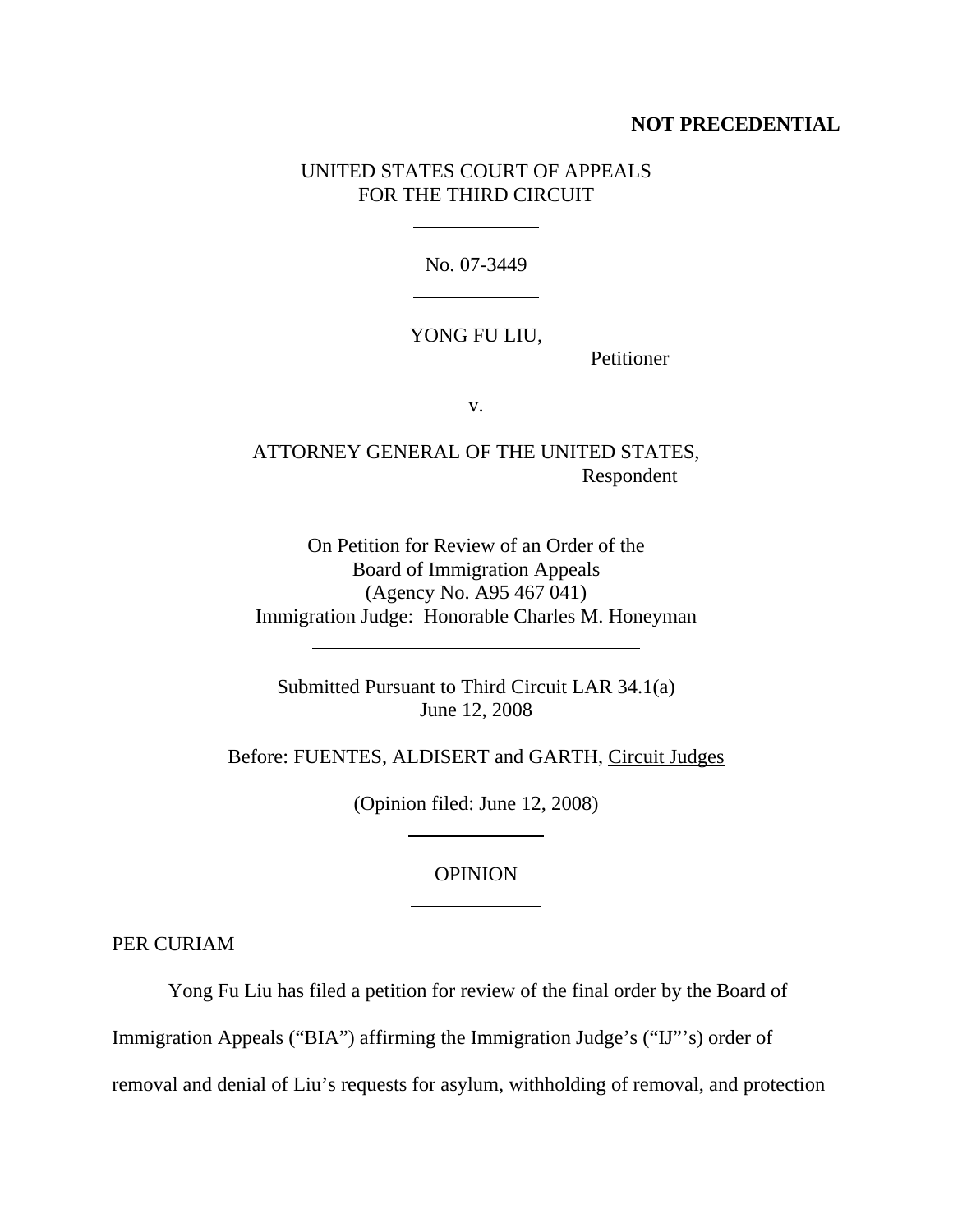## **NOT PRECEDENTIAL**

## UNITED STATES COURT OF APPEALS FOR THE THIRD CIRCUIT

 $\overline{a}$ 

l

 $\overline{a}$ 

l

No. 07-3449

### YONG FU LIU,

Petitioner

v.

ATTORNEY GENERAL OF THE UNITED STATES, Respondent

On Petition for Review of an Order of the Board of Immigration Appeals (Agency No. A95 467 041) Immigration Judge: Honorable Charles M. Honeyman

Submitted Pursuant to Third Circuit LAR 34.1(a) June 12, 2008

Before: FUENTES, ALDISERT and GARTH, Circuit Judges

(Opinion filed: June 12, 2008)

 $\overline{a}$ 

 $\overline{a}$ 

## **OPINION**

PER CURIAM

Yong Fu Liu has filed a petition for review of the final order by the Board of

Immigration Appeals ("BIA") affirming the Immigration Judge's ("IJ"'s) order of

removal and denial of Liu's requests for asylum, withholding of removal, and protection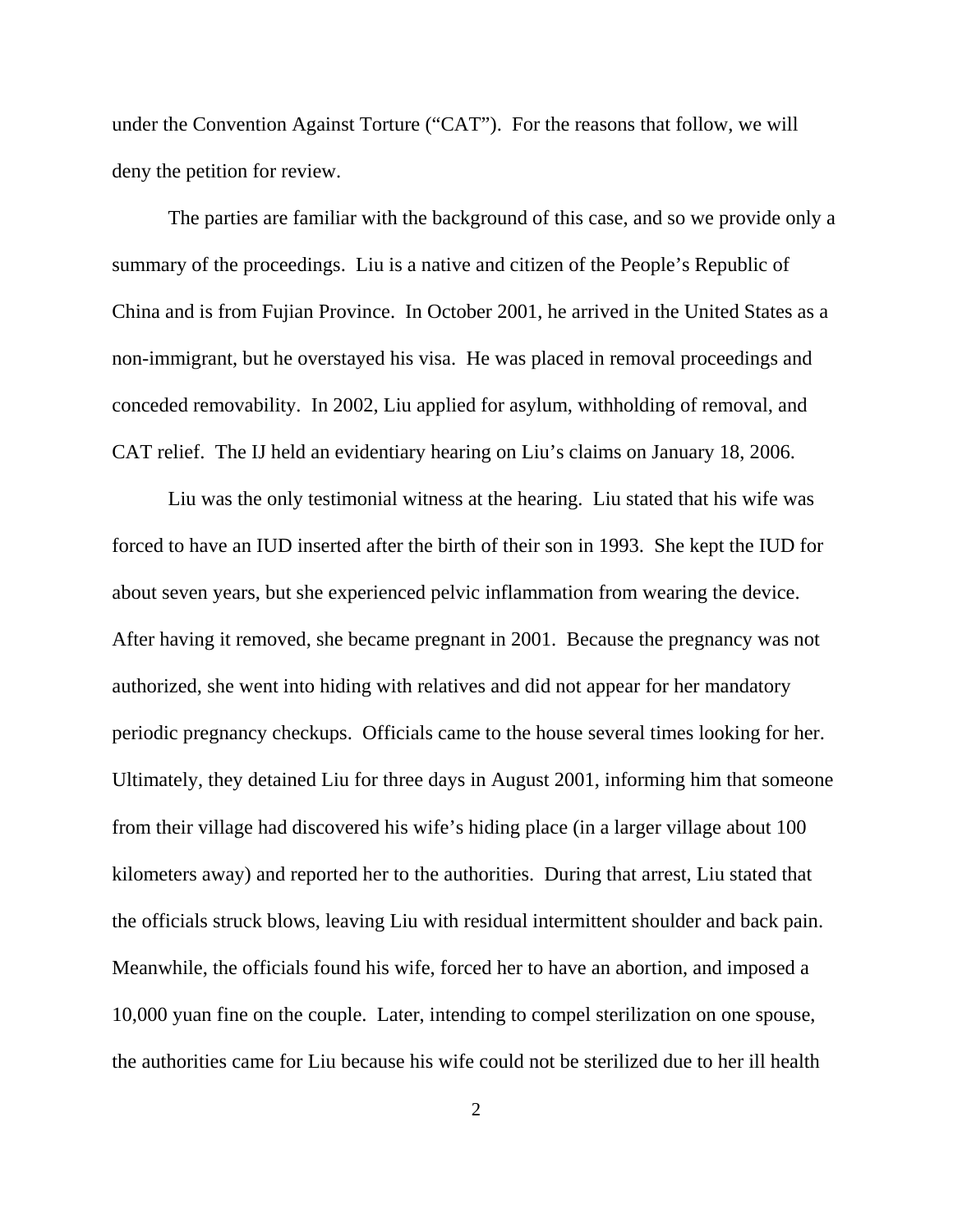under the Convention Against Torture ("CAT"). For the reasons that follow, we will deny the petition for review.

The parties are familiar with the background of this case, and so we provide only a summary of the proceedings. Liu is a native and citizen of the People's Republic of China and is from Fujian Province. In October 2001, he arrived in the United States as a non-immigrant, but he overstayed his visa. He was placed in removal proceedings and conceded removability. In 2002, Liu applied for asylum, withholding of removal, and CAT relief. The IJ held an evidentiary hearing on Liu's claims on January 18, 2006.

Liu was the only testimonial witness at the hearing. Liu stated that his wife was forced to have an IUD inserted after the birth of their son in 1993. She kept the IUD for about seven years, but she experienced pelvic inflammation from wearing the device. After having it removed, she became pregnant in 2001. Because the pregnancy was not authorized, she went into hiding with relatives and did not appear for her mandatory periodic pregnancy checkups. Officials came to the house several times looking for her. Ultimately, they detained Liu for three days in August 2001, informing him that someone from their village had discovered his wife's hiding place (in a larger village about 100 kilometers away) and reported her to the authorities. During that arrest, Liu stated that the officials struck blows, leaving Liu with residual intermittent shoulder and back pain. Meanwhile, the officials found his wife, forced her to have an abortion, and imposed a 10,000 yuan fine on the couple. Later, intending to compel sterilization on one spouse, the authorities came for Liu because his wife could not be sterilized due to her ill health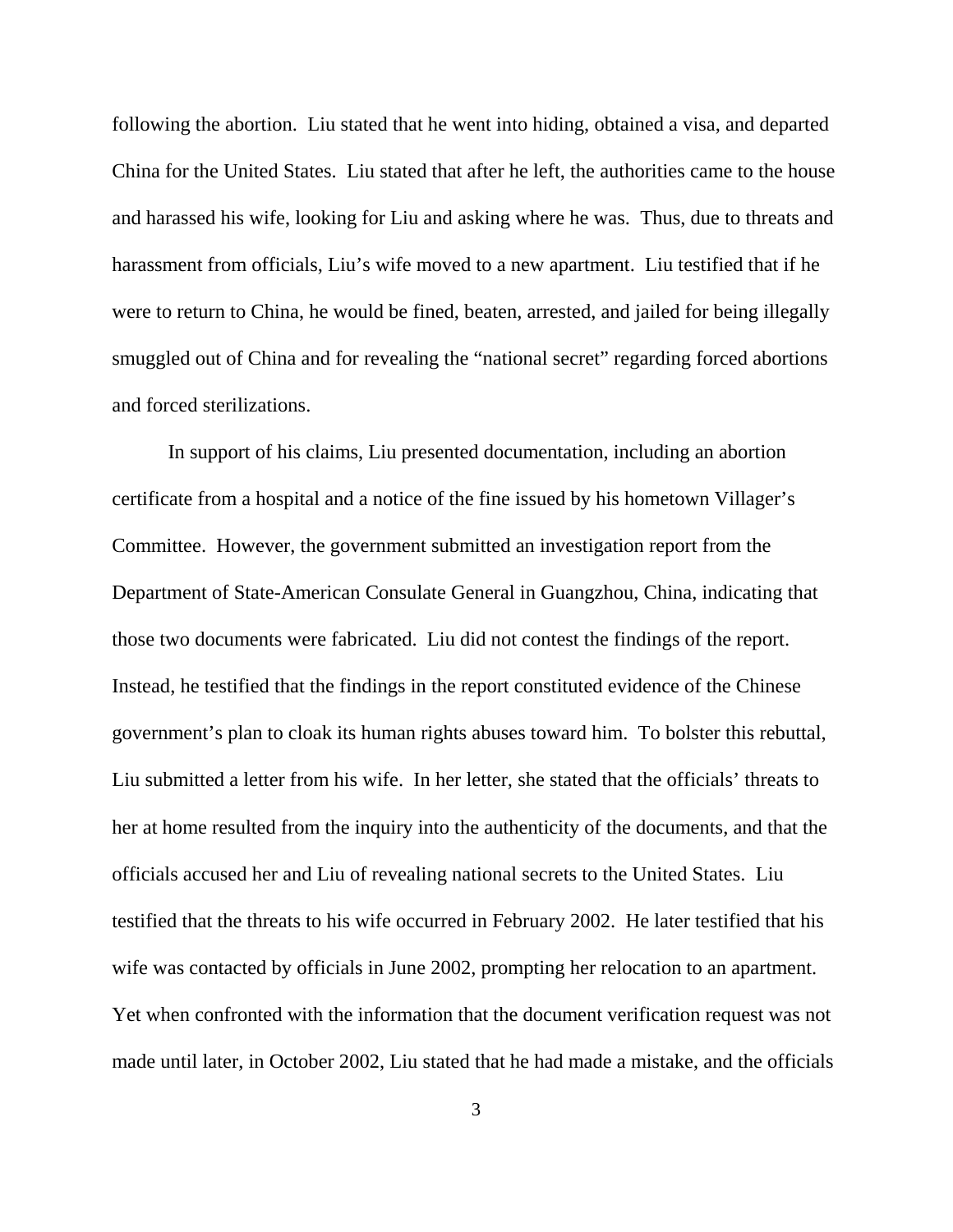following the abortion. Liu stated that he went into hiding, obtained a visa, and departed China for the United States. Liu stated that after he left, the authorities came to the house and harassed his wife, looking for Liu and asking where he was. Thus, due to threats and harassment from officials, Liu's wife moved to a new apartment. Liu testified that if he were to return to China, he would be fined, beaten, arrested, and jailed for being illegally smuggled out of China and for revealing the "national secret" regarding forced abortions and forced sterilizations.

In support of his claims, Liu presented documentation, including an abortion certificate from a hospital and a notice of the fine issued by his hometown Villager's Committee. However, the government submitted an investigation report from the Department of State-American Consulate General in Guangzhou, China, indicating that those two documents were fabricated. Liu did not contest the findings of the report. Instead, he testified that the findings in the report constituted evidence of the Chinese government's plan to cloak its human rights abuses toward him. To bolster this rebuttal, Liu submitted a letter from his wife. In her letter, she stated that the officials' threats to her at home resulted from the inquiry into the authenticity of the documents, and that the officials accused her and Liu of revealing national secrets to the United States. Liu testified that the threats to his wife occurred in February 2002. He later testified that his wife was contacted by officials in June 2002, prompting her relocation to an apartment. Yet when confronted with the information that the document verification request was not made until later, in October 2002, Liu stated that he had made a mistake, and the officials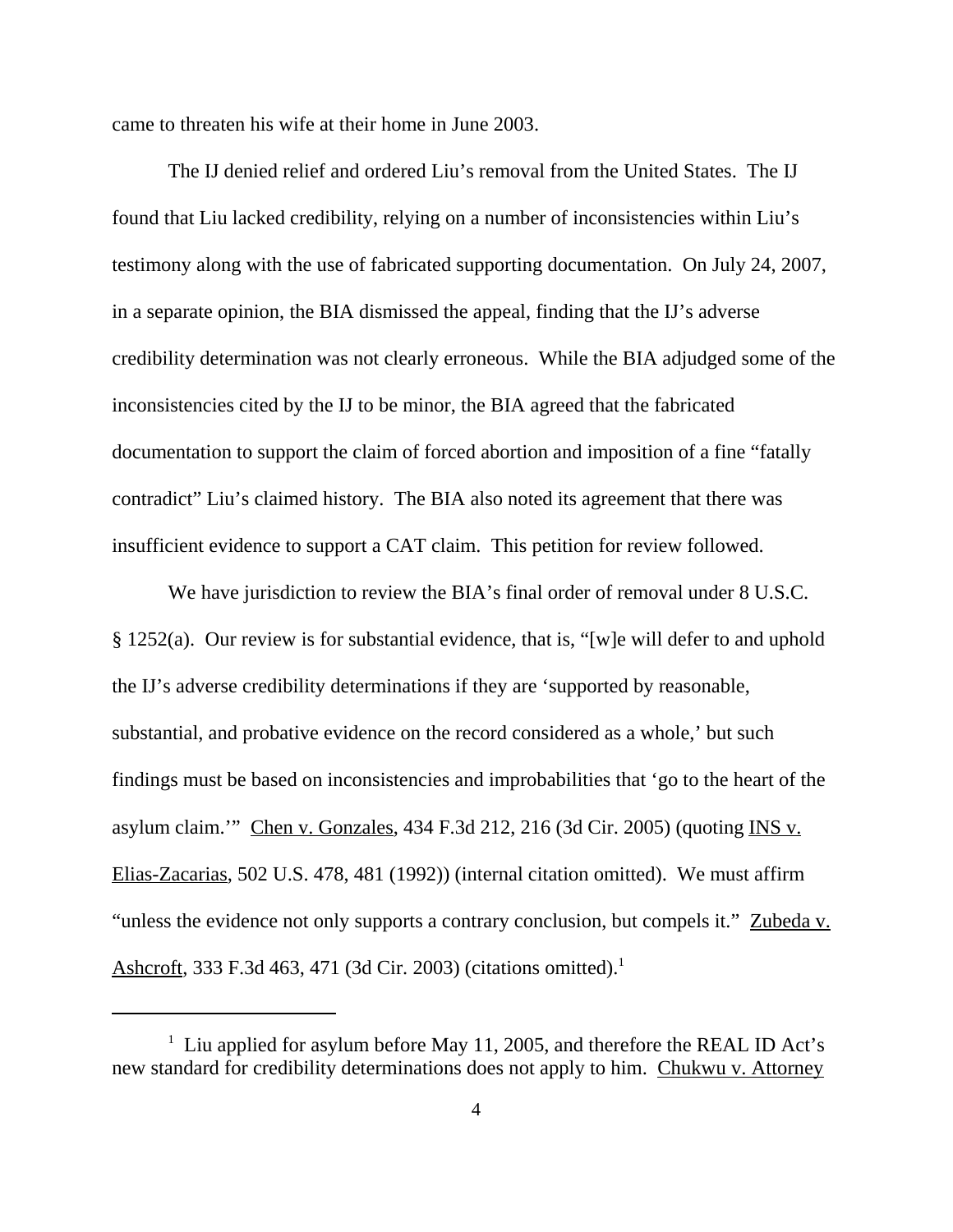came to threaten his wife at their home in June 2003.

The IJ denied relief and ordered Liu's removal from the United States. The IJ found that Liu lacked credibility, relying on a number of inconsistencies within Liu's testimony along with the use of fabricated supporting documentation. On July 24, 2007, in a separate opinion, the BIA dismissed the appeal, finding that the IJ's adverse credibility determination was not clearly erroneous. While the BIA adjudged some of the inconsistencies cited by the IJ to be minor, the BIA agreed that the fabricated documentation to support the claim of forced abortion and imposition of a fine "fatally contradict" Liu's claimed history. The BIA also noted its agreement that there was insufficient evidence to support a CAT claim. This petition for review followed.

We have jurisdiction to review the BIA's final order of removal under 8 U.S.C. § 1252(a). Our review is for substantial evidence, that is, "[w]e will defer to and uphold the IJ's adverse credibility determinations if they are 'supported by reasonable, substantial, and probative evidence on the record considered as a whole,' but such findings must be based on inconsistencies and improbabilities that 'go to the heart of the asylum claim.'" Chen v. Gonzales, 434 F.3d 212, 216 (3d Cir. 2005) (quoting INS v. Elias-Zacarias, 502 U.S. 478, 481 (1992)) (internal citation omitted). We must affirm "unless the evidence not only supports a contrary conclusion, but compels it." Zubeda v. Ashcroft, 333 F.3d 463, 471 (3d Cir. 2003) (citations omitted).1

<sup>&</sup>lt;sup>1</sup> Liu applied for asylum before May 11, 2005, and therefore the REAL ID Act's new standard for credibility determinations does not apply to him. Chukwu v. Attorney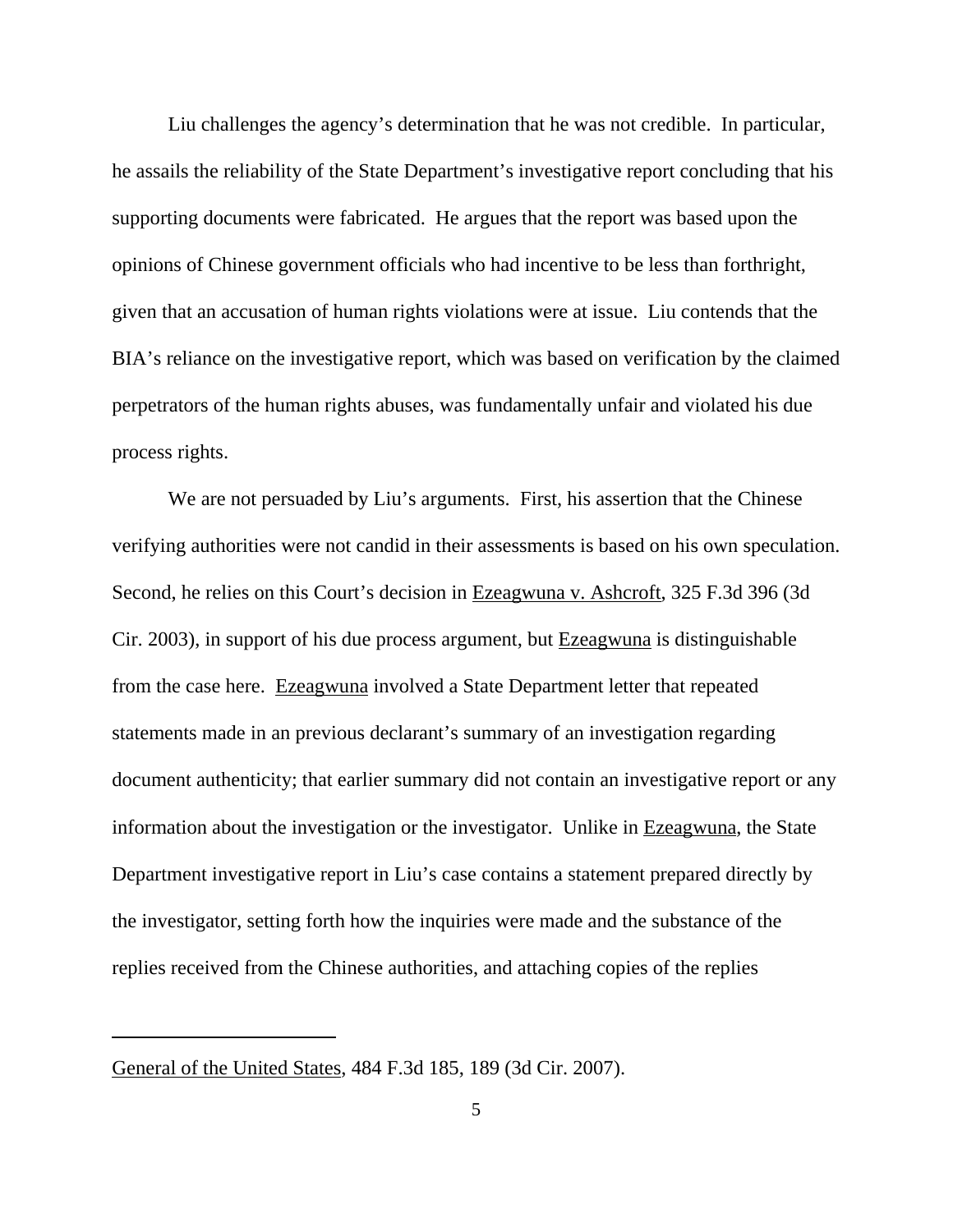Liu challenges the agency's determination that he was not credible. In particular, he assails the reliability of the State Department's investigative report concluding that his supporting documents were fabricated. He argues that the report was based upon the opinions of Chinese government officials who had incentive to be less than forthright, given that an accusation of human rights violations were at issue. Liu contends that the BIA's reliance on the investigative report, which was based on verification by the claimed perpetrators of the human rights abuses, was fundamentally unfair and violated his due process rights.

We are not persuaded by Liu's arguments. First, his assertion that the Chinese verifying authorities were not candid in their assessments is based on his own speculation. Second, he relies on this Court's decision in Ezeagwuna v. Ashcroft, 325 F.3d 396 (3d Cir. 2003), in support of his due process argument, but Ezeagwuna is distinguishable from the case here. Ezeagwuna involved a State Department letter that repeated statements made in an previous declarant's summary of an investigation regarding document authenticity; that earlier summary did not contain an investigative report or any information about the investigation or the investigator. Unlike in Ezeagwuna, the State Department investigative report in Liu's case contains a statement prepared directly by the investigator, setting forth how the inquiries were made and the substance of the replies received from the Chinese authorities, and attaching copies of the replies

General of the United States, 484 F.3d 185, 189 (3d Cir. 2007).